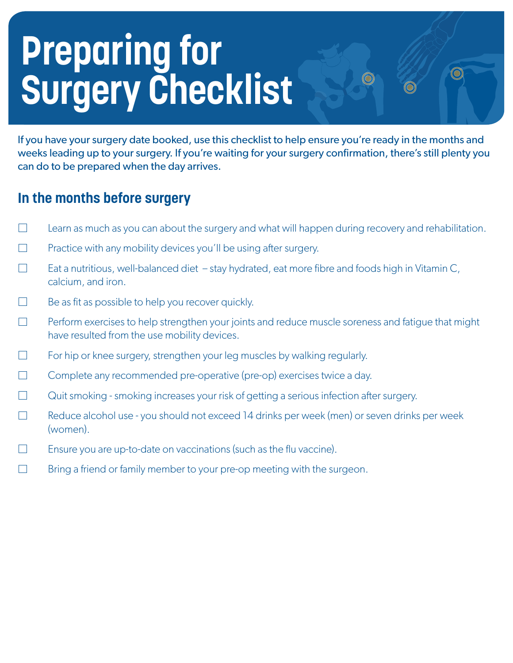# **Preparing for Surgery Checklist**

If you have your surgery date booked, use this checklist to help ensure you're ready in the months and weeks leading up to your surgery. If you're waiting for your surgery confirmation, there's still plenty you can do to be prepared when the day arrives.

## **In the months before surgery**

- $\Box$  Learn as much as you can about the surgery and what will happen during recovery and rehabilitation.
- $\Box$  Practice with any mobility devices you'll be using after surgery.
- $\Box$ Eat a nutritious, well-balanced diet – stay hydrated, eat more fibre and foods high in Vitamin C, calcium, and iron.
- Be as fit as possible to help you recover quickly.  $\Box$
- $\Box$ Perform exercises to help strengthen your joints and reduce muscle soreness and fatigue that might have resulted from the use mobility devices.
- $\Box$ For hip or knee surgery, strengthen your leg muscles by walking regularly.
- $\Box$ Complete any recommended pre-operative (pre-op) exercises twice a day.
- $\Box$ Quit smoking - smoking increases your risk of getting a serious infection after surgery.
- $\Box$ Reduce alcohol use - you should not exceed 14 drinks per week (men) or seven drinks per week (women).
- Ensure you are up-to-date on vaccinations (such as the flu vaccine).  $\Box$
- $\Box$ Bring a friend or family member to your pre-op meeting with the surgeon.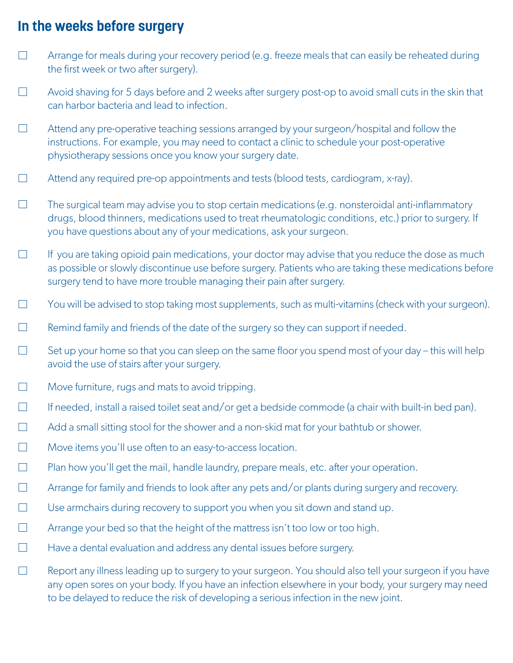## **In the weeks before surgery**

- $\Box$  Arrange for meals during your recovery period (e.g. freeze meals that can easily be reheated during the first week or two after surgery).
- $\Box$  Avoid shaving for 5 days before and 2 weeks after surgery post-op to avoid small cuts in the skin that can harbor bacteria and lead to infection.
- $\Box$  Attend any pre-operative teaching sessions arranged by your surgeon/hospital and follow the instructions. For example, you may need to contact a clinic to schedule your post-operative physiotherapy sessions once you know your surgery date.
- $\Box$  Attend any required pre-op appointments and tests (blood tests, cardiogram, x-ray).
- $\Box$  The surgical team may advise you to stop certain medications (e.g. nonsteroidal anti-inflammatory drugs, blood thinners, medications used to treat rheumatologic conditions, etc.) prior to surgery. If you have questions about any of your medications, ask your surgeon.
- $\Box$  If you are taking opioid pain medications, your doctor may advise that you reduce the dose as much as possible or slowly discontinue use before surgery. Patients who are taking these medications before surgery tend to have more trouble managing their pain after surgery.
- $\overline{\phantom{a}}$ You will be advised to stop taking most supplements, such as multi-vitamins (check with your surgeon).
- $\Box$  Remind family and friends of the date of the surgery so they can support if needed.
- $\Box$  Set up your home so that you can sleep on the same floor you spend most of your day this will help avoid the use of stairs after your surgery.
- $\Box$  Move furniture, rugs and mats to avoid tripping.
- $\Box$  If needed, install a raised toilet seat and/or get a bedside commode (a chair with built-in bed pan).
- $\Box$  Add a small sitting stool for the shower and a non-skid mat for your bathtub or shower.
- $\Box$  Move items you'll use often to an easy-to-access location.
- $\Box$  Plan how you'll get the mail, handle laundry, prepare meals, etc. after your operation.
- $\Box$  Arrange for family and friends to look after any pets and/or plants during surgery and recovery.
- $\Box$  Use armchairs during recovery to support you when you sit down and stand up.
- $\Box$  Arrange your bed so that the height of the mattress isn't too low or too high.
- $\Box$  Have a dental evaluation and address any dental issues before surgery.
- $\Box$  Report any illness leading up to surgery to your surgeon. You should also tell your surgeon if you have any open sores on your body. If you have an infection elsewhere in your body, your surgery may need to be delayed to reduce the risk of developing a serious infection in the new joint.